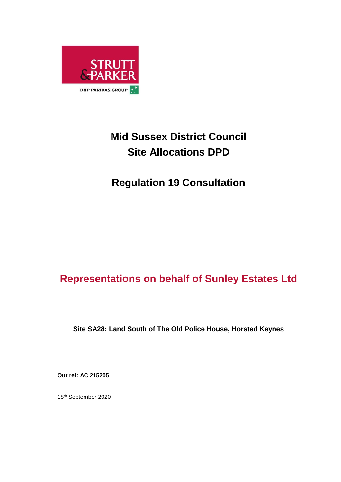

# **Mid Sussex District Council Site Allocations DPD**

## **Regulation 19 Consultation**

## **Representations on behalf of Sunley Estates Ltd**

**Site SA28: Land South of The Old Police House, Horsted Keynes**

**Our ref: AC 215205**

18 th September 2020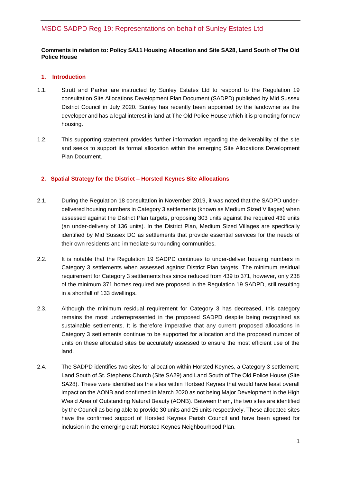#### **Comments in relation to: Policy SA11 Housing Allocation and Site SA28, Land South of The Old Police House**

#### **1. Introduction**

- 1.1. Strutt and Parker are instructed by Sunley Estates Ltd to respond to the Regulation 19 consultation Site Allocations Development Plan Document (SADPD) published by Mid Sussex District Council in July 2020. Sunley has recently been appointed by the landowner as the developer and has a legal interest in land at The Old Police House which it is promoting for new housing.
- 1.2. This supporting statement provides further information regarding the deliverability of the site and seeks to support its formal allocation within the emerging Site Allocations Development Plan Document.

### **2. Spatial Strategy for the District – Horsted Keynes Site Allocations**

- 2.1. During the Regulation 18 consultation in November 2019, it was noted that the SADPD underdelivered housing numbers in Category 3 settlements (known as Medium Sized Villages) when assessed against the District Plan targets, proposing 303 units against the required 439 units (an under-delivery of 136 units). In the District Plan, Medium Sized Villages are specifically identified by Mid Sussex DC as settlements that provide essential services for the needs of their own residents and immediate surrounding communities.
- 2.2. It is notable that the Regulation 19 SADPD continues to under-deliver housing numbers in Category 3 settlements when assessed against District Plan targets. The minimum residual requirement for Category 3 settlements has since reduced from 439 to 371, however, only 238 of the minimum 371 homes required are proposed in the Regulation 19 SADPD, still resulting in a shortfall of 133 dwellings.
- 2.3. Although the minimum residual requirement for Category 3 has decreased, this category remains the most underrepresented in the proposed SADPD despite being recognised as sustainable settlements. It is therefore imperative that any current proposed allocations in Category 3 settlements continue to be supported for allocation and the proposed number of units on these allocated sites be accurately assessed to ensure the most efficient use of the land.
- 2.4. The SADPD identifies two sites for allocation within Horsted Keynes, a Category 3 settlement; Land South of St. Stephens Church (Site SA29) and Land South of The Old Police House (Site SA28). These were identified as the sites within Hortsed Keynes that would have least overall impact on the AONB and confirmed in March 2020 as not being Major Development in the High Weald Area of Outstanding Natural Beauty (AONB). Between them, the two sites are identified by the Council as being able to provide 30 units and 25 units respectively. These allocated sites have the confirmed support of Horsted Keynes Parish Council and have been agreed for inclusion in the emerging draft Horsted Keynes Neighbourhood Plan.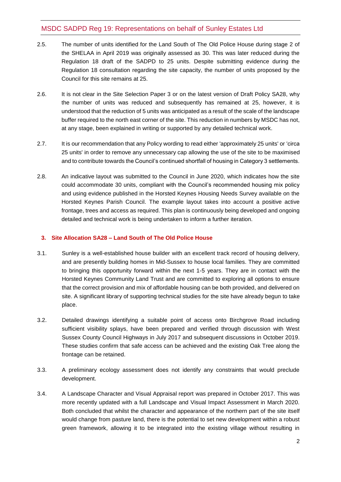## MSDC SADPD Reg 19: Representations on behalf of Sunley Estates Ltd

- 2.5. The number of units identified for the Land South of The Old Police House during stage 2 of the SHELAA in April 2019 was originally assessed as 30. This was later reduced during the Regulation 18 draft of the SADPD to 25 units. Despite submitting evidence during the Regulation 18 consultation regarding the site capacity, the number of units proposed by the Council for this site remains at 25.
- 2.6. It is not clear in the Site Selection Paper 3 or on the latest version of Draft Policy SA28, why the number of units was reduced and subsequently has remained at 25, however, it is understood that the reduction of 5 units was anticipated as a result of the scale of the landscape buffer required to the north east corner of the site. This reduction in numbers by MSDC has not, at any stage, been explained in writing or supported by any detailed technical work.
- 2.7. It is our recommendation that any Policy wording to read either 'approximately 25 units' or 'circa 25 units' in order to remove any unnecessary cap allowing the use of the site to be maximised and to contribute towards the Council's continued shortfall of housing in Category 3 settlements.
- 2.8. An indicative layout was submitted to the Council in June 2020, which indicates how the site could accommodate 30 units, compliant with the Council's recommended housing mix policy and using evidence published in the Horsted Keynes Housing Needs Survey available on the Horsted Keynes Parish Council. The example layout takes into account a positive active frontage, trees and access as required. This plan is continuously being developed and ongoing detailed and technical work is being undertaken to inform a further iteration.

### **3. Site Allocation SA28 – Land South of The Old Police House**

- 3.1. Sunley is a well-established house builder with an excellent track record of housing delivery, and are presently building homes in Mid-Sussex to house local families. They are committed to bringing this opportunity forward within the next 1-5 years. They are in contact with the Horsted Keynes Community Land Trust and are committed to exploring all options to ensure that the correct provision and mix of affordable housing can be both provided, and delivered on site. A significant library of supporting technical studies for the site have already begun to take place.
- 3.2. Detailed drawings identifying a suitable point of access onto Birchgrove Road including sufficient visibility splays, have been prepared and verified through discussion with West Sussex County Council Highways in July 2017 and subsequent discussions in October 2019. These studies confirm that safe access can be achieved and the existing Oak Tree along the frontage can be retained.
- 3.3. A preliminary ecology assessment does not identify any constraints that would preclude development.
- 3.4. A Landscape Character and Visual Appraisal report was prepared in October 2017. This was more recently updated with a full Landscape and Visual Impact Assessment in March 2020. Both concluded that whilst the character and appearance of the northern part of the site itself would change from pasture land, there is the potential to set new development within a robust green framework, allowing it to be integrated into the existing village without resulting in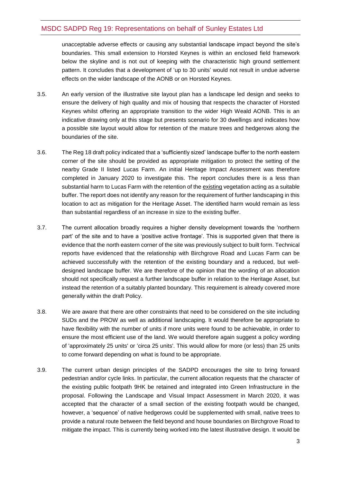## MSDC SADPD Reg 19: Representations on behalf of Sunley Estates Ltd

unacceptable adverse effects or causing any substantial landscape impact beyond the site's boundaries. This small extension to Horsted Keynes is within an enclosed field framework below the skyline and is not out of keeping with the characteristic high ground settlement pattern. It concludes that a development of 'up to 30 units' would not result in undue adverse effects on the wider landscape of the AONB or on Horsted Keynes.

- 3.5. An early version of the illustrative site layout plan has a landscape led design and seeks to ensure the delivery of high quality and mix of housing that respects the character of Horsted Keynes whilst offering an appropriate transition to the wider High Weald AONB. This is an indicative drawing only at this stage but presents scenario for 30 dwellings and indicates how a possible site layout would allow for retention of the mature trees and hedgerows along the boundaries of the site.
- 3.6. The Reg 18 draft policy indicated that a 'sufficiently sized' landscape buffer to the north eastern corner of the site should be provided as appropriate mitigation to protect the setting of the nearby Grade II listed Lucas Farm. An initial Heritage Impact Assessment was therefore completed in January 2020 to investigate this. The report concludes there is a less than substantial harm to Lucas Farm with the retention of the existing vegetation acting as a suitable buffer. The report does not identify any reason for the requirement of further landscaping in this location to act as mitigation for the Heritage Asset. The identified harm would remain as less than substantial regardless of an increase in size to the existing buffer.
- 3.7. The current allocation broadly requires a higher density development towards the 'northern part' of the site and to have a 'positive active frontage'. This is supported given that there is evidence that the north eastern corner of the site was previously subject to built form. Technical reports have evidenced that the relationship with Birchgrove Road and Lucas Farm can be achieved successfully with the retention of the existing boundary and a reduced, but welldesigned landscape buffer. We are therefore of the opinion that the wording of an allocation should not specifically request a further landscape buffer in relation to the Heritage Asset, but instead the retention of a suitably planted boundary. This requirement is already covered more generally within the draft Policy.
- 3.8. We are aware that there are other constraints that need to be considered on the site including SUDs and the PROW as well as additional landscaping. It would therefore be appropriate to have flexibility with the number of units if more units were found to be achievable, in order to ensure the most efficient use of the land. We would therefore again suggest a policy wording of 'approximately 25 units' or 'circa 25 units'. This would allow for more (or less) than 25 units to come forward depending on what is found to be appropriate.
- 3.9. The current urban design principles of the SADPD encourages the site to bring forward pedestrian and/or cycle links. In particular, the current allocation requests that the character of the existing public footpath 9HK be retained and integrated into Green Infrastructure in the proposal. Following the Landscape and Visual Impact Assessment in March 2020, it was accepted that the character of a small section of the existing footpath would be changed, however, a 'sequence' of native hedgerows could be supplemented with small, native trees to provide a natural route between the field beyond and house boundaries on Birchgrove Road to mitigate the impact. This is currently being worked into the latest illustrative design. It would be